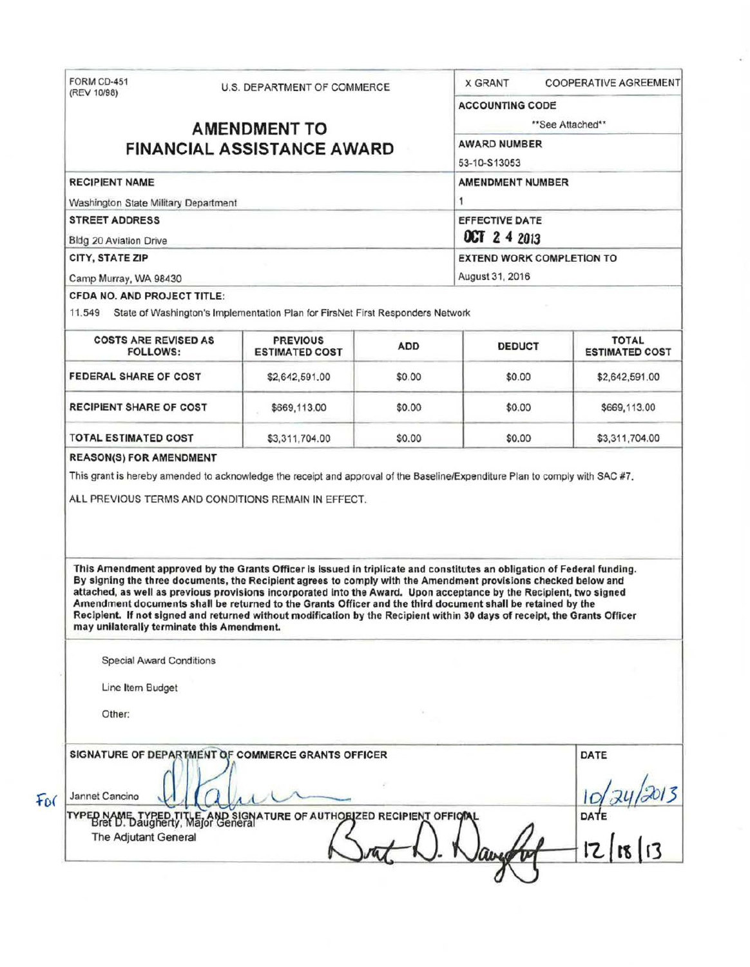| FORM CD-451                                                                                                | U.S. DEPARTMENT OF COMMERCE |                                                                                                                                                                                                                                                                                                                                                                 |            | <b>X GRANT</b>                                                                 | <b>COOPERATIVE AGREEMENT</b>          |  |                             |  |                                                                                       |  |                 |  |  |
|------------------------------------------------------------------------------------------------------------|-----------------------------|-----------------------------------------------------------------------------------------------------------------------------------------------------------------------------------------------------------------------------------------------------------------------------------------------------------------------------------------------------------------|------------|--------------------------------------------------------------------------------|---------------------------------------|--|-----------------------------|--|---------------------------------------------------------------------------------------|--|-----------------|--|--|
| (REV 10/98)                                                                                                |                             |                                                                                                                                                                                                                                                                                                                                                                 |            | <b>ACCOUNTING CODE</b>                                                         |                                       |  |                             |  |                                                                                       |  |                 |  |  |
|                                                                                                            |                             | <b>AMENDMENT TO</b>                                                                                                                                                                                                                                                                                                                                             |            |                                                                                | **See Attached**                      |  |                             |  |                                                                                       |  |                 |  |  |
|                                                                                                            |                             | <b>AWARD NUMBER</b><br>53-10-S13053<br><b>AMENDMENT NUMBER</b>                                                                                                                                                                                                                                                                                                  |            |                                                                                |                                       |  |                             |  |                                                                                       |  |                 |  |  |
| <b>FINANCIAL ASSISTANCE AWARD</b>                                                                          |                             |                                                                                                                                                                                                                                                                                                                                                                 |            |                                                                                |                                       |  |                             |  |                                                                                       |  |                 |  |  |
| <b>RECIPIENT NAME</b>                                                                                      |                             |                                                                                                                                                                                                                                                                                                                                                                 |            |                                                                                |                                       |  |                             |  |                                                                                       |  |                 |  |  |
| Washington State Military Department<br><b>STREET ADDRESS</b><br>Bldg 20 Aviation Drive<br>CITY, STATE ZIP |                             |                                                                                                                                                                                                                                                                                                                                                                 |            | 1<br><b>EFFECTIVE DATE</b><br>OCT 2 4 2013<br><b>EXTEND WORK COMPLETION TO</b> |                                       |  |                             |  |                                                                                       |  |                 |  |  |
|                                                                                                            |                             |                                                                                                                                                                                                                                                                                                                                                                 |            |                                                                                |                                       |  | Camp Murray, WA 98430       |  |                                                                                       |  | August 31, 2016 |  |  |
|                                                                                                            |                             |                                                                                                                                                                                                                                                                                                                                                                 |            |                                                                                |                                       |  | CFDA NO. AND PROJECT TITLE: |  |                                                                                       |  |                 |  |  |
|                                                                                                            |                             |                                                                                                                                                                                                                                                                                                                                                                 |            |                                                                                |                                       |  |                             |  | 11.549 State of Washington's Implementation Plan for FirsNet First Responders Network |  |                 |  |  |
|                                                                                                            |                             |                                                                                                                                                                                                                                                                                                                                                                 |            |                                                                                |                                       |  |                             |  |                                                                                       |  |                 |  |  |
| <b>COSTS ARE REVISED AS</b><br><b>FOLLOWS:</b>                                                             |                             | <b>PREVIOUS</b><br><b>ESTIMATED COST</b>                                                                                                                                                                                                                                                                                                                        | <b>ADD</b> | <b>DEDUCT</b>                                                                  | <b>TOTAL</b><br><b>ESTIMATED COST</b> |  |                             |  |                                                                                       |  |                 |  |  |
| FEDERAL SHARE OF COST                                                                                      |                             | \$2,642,591.00                                                                                                                                                                                                                                                                                                                                                  | \$0.00     | \$0.00                                                                         | \$2,642,591.00                        |  |                             |  |                                                                                       |  |                 |  |  |
| <b>RECIPIENT SHARE OF COST</b>                                                                             |                             | \$669,113.00                                                                                                                                                                                                                                                                                                                                                    | \$0.00     | \$0.00                                                                         | \$669,113.00                          |  |                             |  |                                                                                       |  |                 |  |  |
|                                                                                                            |                             |                                                                                                                                                                                                                                                                                                                                                                 |            |                                                                                |                                       |  |                             |  |                                                                                       |  |                 |  |  |
| <b>TOTAL ESTIMATED COST</b><br><b>REASON(S) FOR AMENDMENT</b>                                              |                             | \$3,311,704.00<br>This grant is hereby amended to acknowledge the receipt and approval of the Baseline/Expenditure Plan to comply with SAC #7.<br>ALL PREVIOUS TERMS AND CONDITIONS REMAIN IN EFFECT.                                                                                                                                                           | \$0.00     | \$0.00                                                                         |                                       |  |                             |  |                                                                                       |  |                 |  |  |
|                                                                                                            |                             | This Amendment approved by the Grants Officer is Issued in triplicate and constitutes an obligation of Federal funding.<br>By signing the three documents, the Recipient agrees to comply with the Amendment provisions checked below and<br>attached, as well as previous provisions incorporated into the Award. Upon acceptance by the Recipient, two signed |            |                                                                                |                                       |  |                             |  |                                                                                       |  |                 |  |  |
| may unilaterally terminate this Amendment.                                                                 |                             | Amendment documents shall be returned to the Grants Officer and the third document shall be retained by the<br>Recipient. If not signed and returned without modification by the Recipient within 30 days of receipt, the Grants Officer                                                                                                                        |            |                                                                                |                                       |  |                             |  |                                                                                       |  |                 |  |  |
| <b>Special Award Conditions</b>                                                                            |                             |                                                                                                                                                                                                                                                                                                                                                                 |            |                                                                                |                                       |  |                             |  |                                                                                       |  |                 |  |  |
| Line Item Budget                                                                                           |                             |                                                                                                                                                                                                                                                                                                                                                                 |            |                                                                                |                                       |  |                             |  |                                                                                       |  |                 |  |  |
| Other:                                                                                                     |                             |                                                                                                                                                                                                                                                                                                                                                                 |            |                                                                                |                                       |  |                             |  |                                                                                       |  |                 |  |  |
|                                                                                                            |                             | SIGNATURE OF DEPARTMENT OF COMMERCE GRANTS OFFICER                                                                                                                                                                                                                                                                                                              |            |                                                                                | DATE                                  |  |                             |  |                                                                                       |  |                 |  |  |
| Jannet Cancino                                                                                             |                             |                                                                                                                                                                                                                                                                                                                                                                 |            |                                                                                | \$3,311,704.00                        |  |                             |  |                                                                                       |  |                 |  |  |
| The Adjutant General                                                                                       |                             | TYPED NAME TYPED TITLE AND SIGNATURE OF AUTHORIZED RECIPIENT OFFICIAL                                                                                                                                                                                                                                                                                           |            |                                                                                | $\frac{10}{24}$ 24/2013               |  |                             |  |                                                                                       |  |                 |  |  |